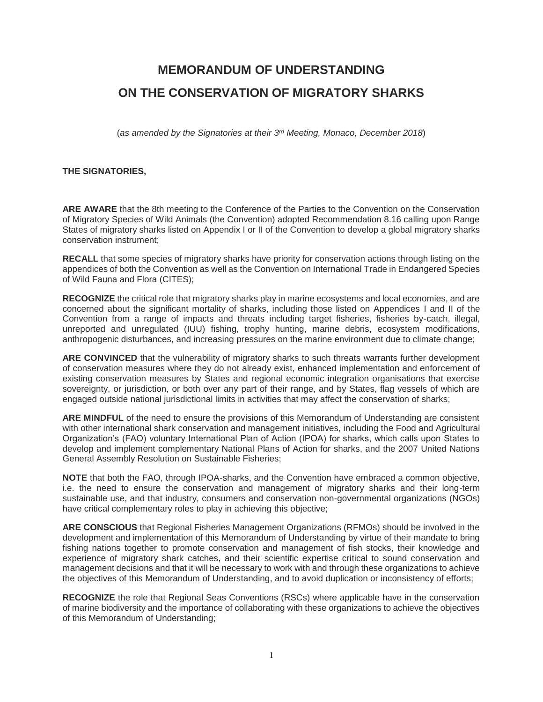# **MEMORANDUM OF UNDERSTANDING ON THE CONSERVATION OF MIGRATORY SHARKS**

(*as amended by the Signatories at their 3 rd Meeting, Monaco, December 2018*)

#### **THE SIGNATORIES,**

**ARE AWARE** that the 8th meeting to the Conference of the Parties to the Convention on the Conservation of Migratory Species of Wild Animals (the Convention) adopted Recommendation 8.16 calling upon Range States of migratory sharks listed on Appendix I or II of the Convention to develop a global migratory sharks conservation instrument;

**RECALL** that some species of migratory sharks have priority for conservation actions through listing on the appendices of both the Convention as well as the Convention on International Trade in Endangered Species of Wild Fauna and Flora (CITES);

**RECOGNIZE** the critical role that migratory sharks play in marine ecosystems and local economies, and are concerned about the significant mortality of sharks, including those listed on Appendices I and II of the Convention from a range of impacts and threats including target fisheries, fisheries by-catch, illegal, unreported and unregulated (IUU) fishing, trophy hunting, marine debris, ecosystem modifications, anthropogenic disturbances, and increasing pressures on the marine environment due to climate change;

**ARE CONVINCED** that the vulnerability of migratory sharks to such threats warrants further development of conservation measures where they do not already exist, enhanced implementation and enforcement of existing conservation measures by States and regional economic integration organisations that exercise sovereignty, or jurisdiction, or both over any part of their range, and by States, flag vessels of which are engaged outside national jurisdictional limits in activities that may affect the conservation of sharks;

**ARE MINDFUL** of the need to ensure the provisions of this Memorandum of Understanding are consistent with other international shark conservation and management initiatives, including the Food and Agricultural Organization's (FAO) voluntary International Plan of Action (IPOA) for sharks, which calls upon States to develop and implement complementary National Plans of Action for sharks, and the 2007 United Nations General Assembly Resolution on Sustainable Fisheries;

**NOTE** that both the FAO, through IPOA-sharks, and the Convention have embraced a common objective, i.e. the need to ensure the conservation and management of migratory sharks and their long-term sustainable use, and that industry, consumers and conservation non-governmental organizations (NGOs) have critical complementary roles to play in achieving this objective;

**ARE CONSCIOUS** that Regional Fisheries Management Organizations (RFMOs) should be involved in the development and implementation of this Memorandum of Understanding by virtue of their mandate to bring fishing nations together to promote conservation and management of fish stocks, their knowledge and experience of migratory shark catches, and their scientific expertise critical to sound conservation and management decisions and that it will be necessary to work with and through these organizations to achieve the objectives of this Memorandum of Understanding, and to avoid duplication or inconsistency of efforts;

**RECOGNIZE** the role that Regional Seas Conventions (RSCs) where applicable have in the conservation of marine biodiversity and the importance of collaborating with these organizations to achieve the objectives of this Memorandum of Understanding;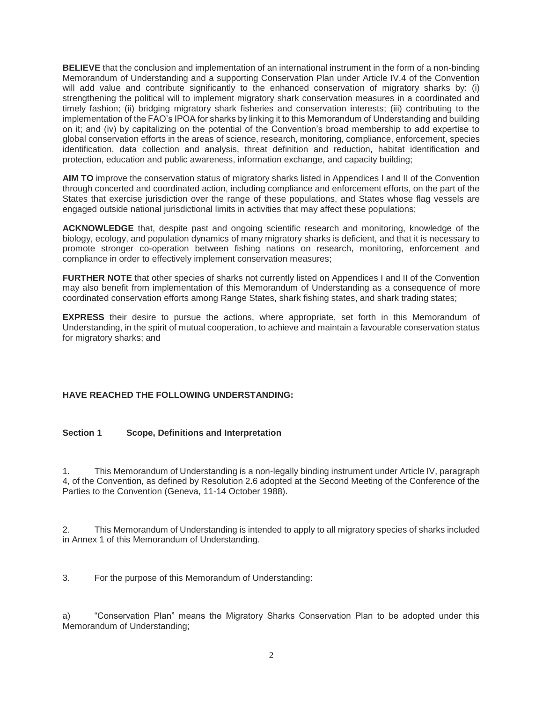**BELIEVE** that the conclusion and implementation of an international instrument in the form of a non-binding Memorandum of Understanding and a supporting Conservation Plan under Article IV.4 of the Convention will add value and contribute significantly to the enhanced conservation of migratory sharks by: (i) strengthening the political will to implement migratory shark conservation measures in a coordinated and timely fashion; (ii) bridging migratory shark fisheries and conservation interests; (iii) contributing to the implementation of the FAO's IPOA for sharks by linking it to this Memorandum of Understanding and building on it; and (iv) by capitalizing on the potential of the Convention's broad membership to add expertise to global conservation efforts in the areas of science, research, monitoring, compliance, enforcement, species identification, data collection and analysis, threat definition and reduction, habitat identification and protection, education and public awareness, information exchange, and capacity building;

**AIM TO** improve the conservation status of migratory sharks listed in Appendices I and II of the Convention through concerted and coordinated action, including compliance and enforcement efforts, on the part of the States that exercise jurisdiction over the range of these populations, and States whose flag vessels are engaged outside national jurisdictional limits in activities that may affect these populations;

**ACKNOWLEDGE** that, despite past and ongoing scientific research and monitoring, knowledge of the biology, ecology, and population dynamics of many migratory sharks is deficient, and that it is necessary to promote stronger co-operation between fishing nations on research, monitoring, enforcement and compliance in order to effectively implement conservation measures;

**FURTHER NOTE** that other species of sharks not currently listed on Appendices I and II of the Convention may also benefit from implementation of this Memorandum of Understanding as a consequence of more coordinated conservation efforts among Range States, shark fishing states, and shark trading states;

**EXPRESS** their desire to pursue the actions, where appropriate, set forth in this Memorandum of Understanding, in the spirit of mutual cooperation, to achieve and maintain a favourable conservation status for migratory sharks; and

#### **HAVE REACHED THE FOLLOWING UNDERSTANDING:**

#### **Section 1 Scope, Definitions and Interpretation**

1. This Memorandum of Understanding is a non-legally binding instrument under Article IV, paragraph 4, of the Convention, as defined by Resolution 2.6 adopted at the Second Meeting of the Conference of the Parties to the Convention (Geneva, 11-14 October 1988).

2. This Memorandum of Understanding is intended to apply to all migratory species of sharks included in Annex 1 of this Memorandum of Understanding.

3. For the purpose of this Memorandum of Understanding:

a) "Conservation Plan" means the Migratory Sharks Conservation Plan to be adopted under this Memorandum of Understanding;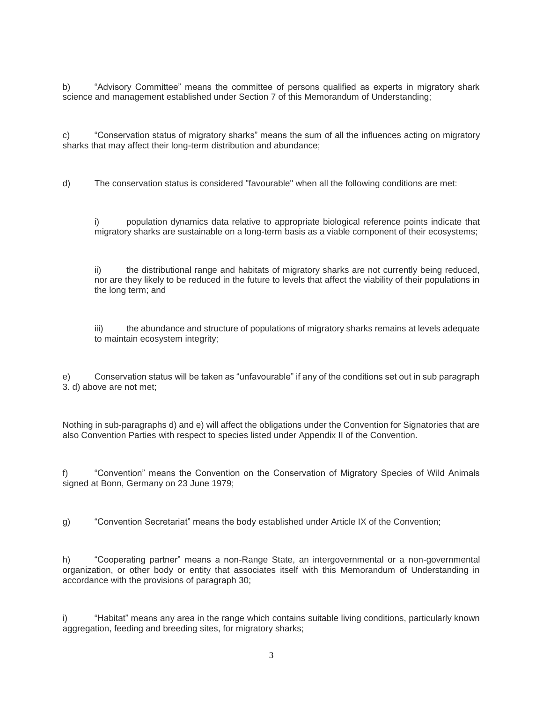b) "Advisory Committee" means the committee of persons qualified as experts in migratory shark science and management established under Section 7 of this Memorandum of Understanding;

c) "Conservation status of migratory sharks" means the sum of all the influences acting on migratory sharks that may affect their long-term distribution and abundance;

d) The conservation status is considered "favourable" when all the following conditions are met:

i) population dynamics data relative to appropriate biological reference points indicate that migratory sharks are sustainable on a long-term basis as a viable component of their ecosystems;

ii) the distributional range and habitats of migratory sharks are not currently being reduced, nor are they likely to be reduced in the future to levels that affect the viability of their populations in the long term; and

iii) the abundance and structure of populations of migratory sharks remains at levels adequate to maintain ecosystem integrity;

e) Conservation status will be taken as "unfavourable" if any of the conditions set out in sub paragraph 3. d) above are not met;

Nothing in sub-paragraphs d) and e) will affect the obligations under the Convention for Signatories that are also Convention Parties with respect to species listed under Appendix II of the Convention.

f) "Convention" means the Convention on the Conservation of Migratory Species of Wild Animals signed at Bonn, Germany on 23 June 1979;

g) "Convention Secretariat" means the body established under Article IX of the Convention;

h) "Cooperating partner" means a non-Range State, an intergovernmental or a non-governmental organization, or other body or entity that associates itself with this Memorandum of Understanding in accordance with the provisions of paragraph 30;

i) "Habitat" means any area in the range which contains suitable living conditions, particularly known aggregation, feeding and breeding sites, for migratory sharks;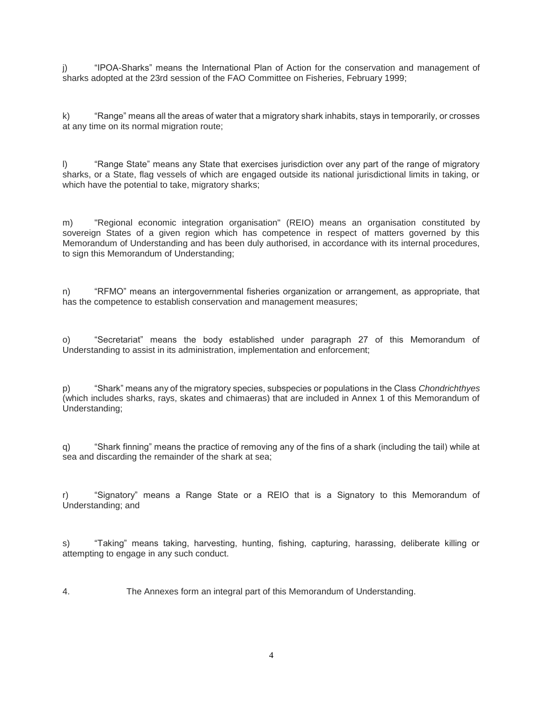j) "IPOA-Sharks" means the International Plan of Action for the conservation and management of sharks adopted at the 23rd session of the FAO Committee on Fisheries, February 1999;

k) "Range" means all the areas of water that a migratory shark inhabits, stays in temporarily, or crosses at any time on its normal migration route;

l) "Range State" means any State that exercises jurisdiction over any part of the range of migratory sharks, or a State, flag vessels of which are engaged outside its national jurisdictional limits in taking, or which have the potential to take, migratory sharks;

m) "Regional economic integration organisation" (REIO) means an organisation constituted by sovereign States of a given region which has competence in respect of matters governed by this Memorandum of Understanding and has been duly authorised, in accordance with its internal procedures, to sign this Memorandum of Understanding;

n) "RFMO" means an intergovernmental fisheries organization or arrangement, as appropriate, that has the competence to establish conservation and management measures;

o) "Secretariat" means the body established under paragraph 27 of this Memorandum of Understanding to assist in its administration, implementation and enforcement;

p) "Shark" means any of the migratory species, subspecies or populations in the Class *Chondrichthyes* (which includes sharks, rays, skates and chimaeras) that are included in Annex 1 of this Memorandum of Understanding;

q) "Shark finning" means the practice of removing any of the fins of a shark (including the tail) while at sea and discarding the remainder of the shark at sea;

r) "Signatory" means a Range State or a REIO that is a Signatory to this Memorandum of Understanding; and

s) "Taking" means taking, harvesting, hunting, fishing, capturing, harassing, deliberate killing or attempting to engage in any such conduct.

4. The Annexes form an integral part of this Memorandum of Understanding.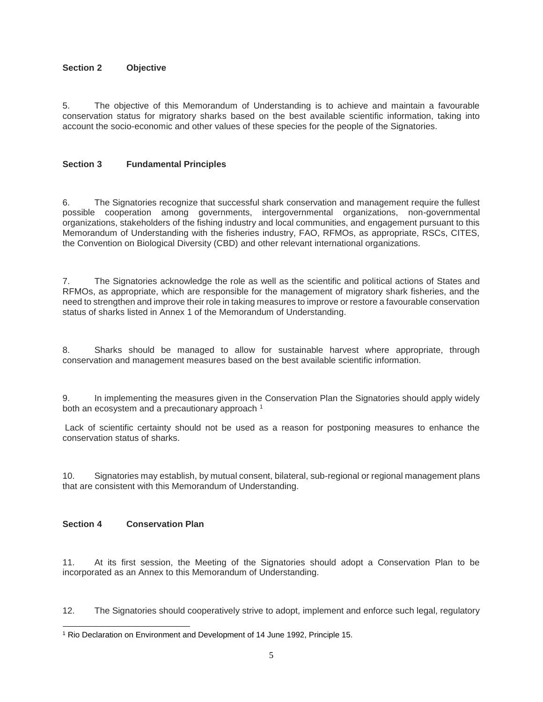#### **Section 2 Objective**

5. The objective of this Memorandum of Understanding is to achieve and maintain a favourable conservation status for migratory sharks based on the best available scientific information, taking into account the socio-economic and other values of these species for the people of the Signatories.

#### **Section 3 Fundamental Principles**

6. The Signatories recognize that successful shark conservation and management require the fullest possible cooperation among governments, intergovernmental organizations, non-governmental organizations, stakeholders of the fishing industry and local communities, and engagement pursuant to this Memorandum of Understanding with the fisheries industry, FAO, RFMOs, as appropriate, RSCs, CITES, the Convention on Biological Diversity (CBD) and other relevant international organizations.

7. The Signatories acknowledge the role as well as the scientific and political actions of States and RFMOs, as appropriate, which are responsible for the management of migratory shark fisheries, and the need to strengthen and improve their role in taking measures to improve or restore a favourable conservation status of sharks listed in Annex 1 of the Memorandum of Understanding.

8. Sharks should be managed to allow for sustainable harvest where appropriate, through conservation and management measures based on the best available scientific information.

9. In implementing the measures given in the Conservation Plan the Signatories should apply widely both an ecosystem and a precautionary approach<sup>1</sup>

Lack of scientific certainty should not be used as a reason for postponing measures to enhance the conservation status of sharks.

10. Signatories may establish, by mutual consent, bilateral, sub-regional or regional management plans that are consistent with this Memorandum of Understanding.

#### **Section 4 Conservation Plan**

11. At its first session, the Meeting of the Signatories should adopt a Conservation Plan to be incorporated as an Annex to this Memorandum of Understanding.

12. The Signatories should cooperatively strive to adopt, implement and enforce such legal, regulatory

l <sup>1</sup> Rio Declaration on Environment and Development of 14 June 1992, Principle 15.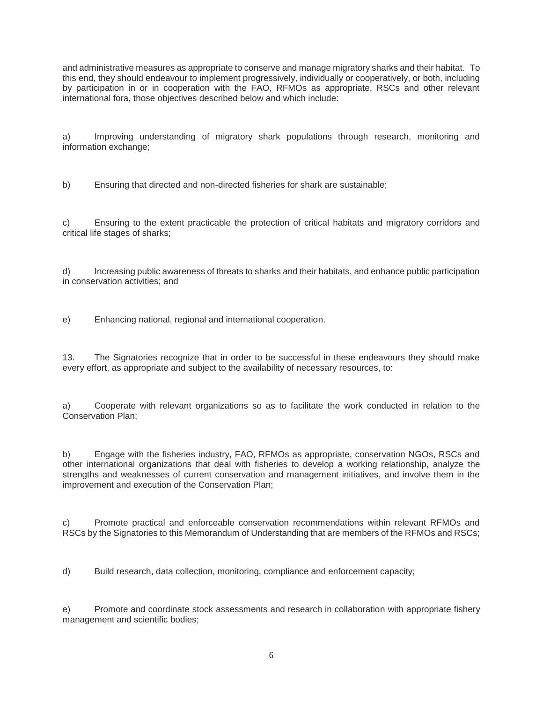and administrative measures as appropriate to conserve and manage migratory sharks and their habitat. To this end, they should endeavour to implement progressively, individually or cooperatively, or both, including by participation in or in cooperation with the FAO, RFMOs as appropriate, RSCs and other relevant international fora, those objectives described below and which include:

a) Improving understanding of migratory shark populations through research, monitoring and information exchange;

b) Ensuring that directed and non-directed fisheries for shark are sustainable;

c) Ensuring to the extent practicable the protection of critical habitats and migratory corridors and critical life stages of sharks;

d) Increasing public awareness of threats to sharks and their habitats, and enhance public participation in conservation activities; and

e) Enhancing national, regional and international cooperation.

13. The Signatories recognize that in order to be successful in these endeavours they should make every effort, as appropriate and subject to the availability of necessary resources, to:

a) Cooperate with relevant organizations so as to facilitate the work conducted in relation to the Conservation Plan;

b) Engage with the fisheries industry, FAO, RFMOs as appropriate, conservation NGOs, RSCs and other international organizations that deal with fisheries to develop a working relationship, analyze the strengths and weaknesses of current conservation and management initiatives, and involve them in the improvement and execution of the Conservation Plan;

c) Promote practical and enforceable conservation recommendations within relevant RFMOs and RSCs by the Signatories to this Memorandum of Understanding that are members of the RFMOs and RSCs;

d) Build research, data collection, monitoring, compliance and enforcement capacity;

e) Promote and coordinate stock assessments and research in collaboration with appropriate fishery management and scientific bodies;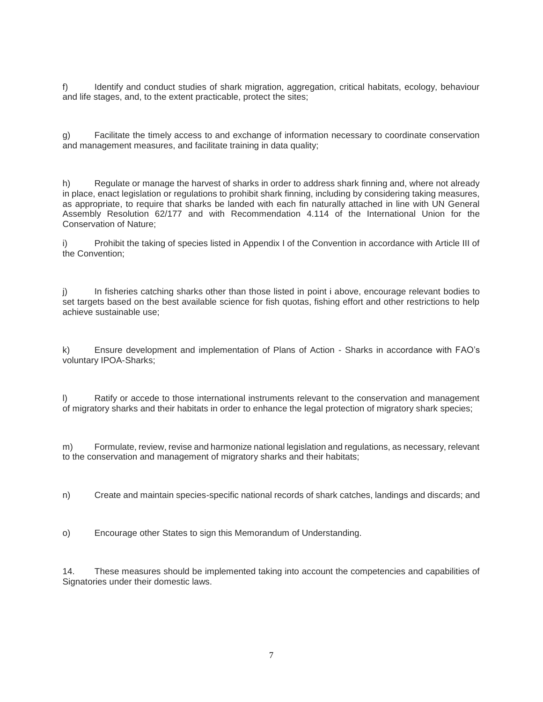f) Identify and conduct studies of shark migration, aggregation, critical habitats, ecology, behaviour and life stages, and, to the extent practicable, protect the sites;

g) Facilitate the timely access to and exchange of information necessary to coordinate conservation and management measures, and facilitate training in data quality;

h) Regulate or manage the harvest of sharks in order to address shark finning and, where not already in place, enact legislation or regulations to prohibit shark finning, including by considering taking measures, as appropriate, to require that sharks be landed with each fin naturally attached in line with UN General Assembly Resolution 62/177 and with Recommendation 4.114 of the International Union for the Conservation of Nature;

i) Prohibit the taking of species listed in Appendix I of the Convention in accordance with Article III of the Convention;

j) In fisheries catching sharks other than those listed in point i above, encourage relevant bodies to set targets based on the best available science for fish quotas, fishing effort and other restrictions to help achieve sustainable use;

k) Ensure development and implementation of Plans of Action - Sharks in accordance with FAO's voluntary IPOA-Sharks;

l) Ratify or accede to those international instruments relevant to the conservation and management of migratory sharks and their habitats in order to enhance the legal protection of migratory shark species;

m) Formulate, review, revise and harmonize national legislation and regulations, as necessary, relevant to the conservation and management of migratory sharks and their habitats;

n) Create and maintain species-specific national records of shark catches, landings and discards; and

o) Encourage other States to sign this Memorandum of Understanding.

14. These measures should be implemented taking into account the competencies and capabilities of Signatories under their domestic laws.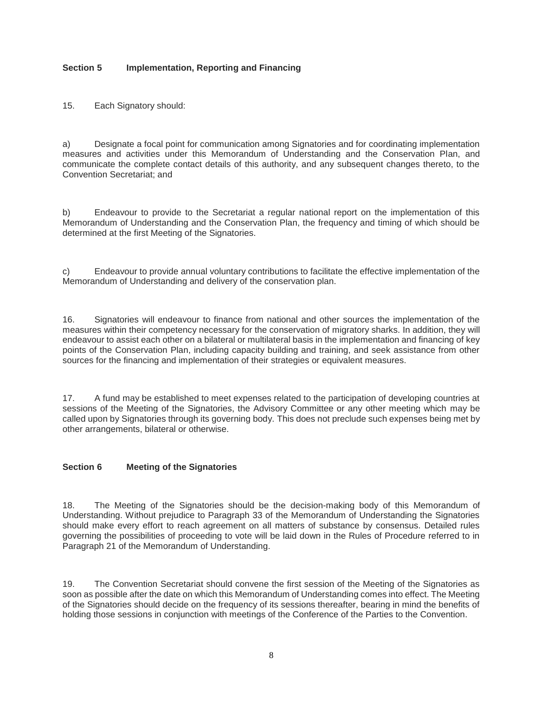#### **Section 5 Implementation, Reporting and Financing**

15. Each Signatory should:

a) Designate a focal point for communication among Signatories and for coordinating implementation measures and activities under this Memorandum of Understanding and the Conservation Plan, and communicate the complete contact details of this authority, and any subsequent changes thereto, to the Convention Secretariat; and

b) Endeavour to provide to the Secretariat a regular national report on the implementation of this Memorandum of Understanding and the Conservation Plan, the frequency and timing of which should be determined at the first Meeting of the Signatories.

c) Endeavour to provide annual voluntary contributions to facilitate the effective implementation of the Memorandum of Understanding and delivery of the conservation plan.

16. Signatories will endeavour to finance from national and other sources the implementation of the measures within their competency necessary for the conservation of migratory sharks. In addition, they will endeavour to assist each other on a bilateral or multilateral basis in the implementation and financing of key points of the Conservation Plan, including capacity building and training, and seek assistance from other sources for the financing and implementation of their strategies or equivalent measures.

17. A fund may be established to meet expenses related to the participation of developing countries at sessions of the Meeting of the Signatories, the Advisory Committee or any other meeting which may be called upon by Signatories through its governing body. This does not preclude such expenses being met by other arrangements, bilateral or otherwise.

#### **Section 6 Meeting of the Signatories**

18. The Meeting of the Signatories should be the decision-making body of this Memorandum of Understanding. Without prejudice to Paragraph 33 of the Memorandum of Understanding the Signatories should make every effort to reach agreement on all matters of substance by consensus. Detailed rules governing the possibilities of proceeding to vote will be laid down in the Rules of Procedure referred to in Paragraph 21 of the Memorandum of Understanding.

19. The Convention Secretariat should convene the first session of the Meeting of the Signatories as soon as possible after the date on which this Memorandum of Understanding comes into effect. The Meeting of the Signatories should decide on the frequency of its sessions thereafter, bearing in mind the benefits of holding those sessions in conjunction with meetings of the Conference of the Parties to the Convention.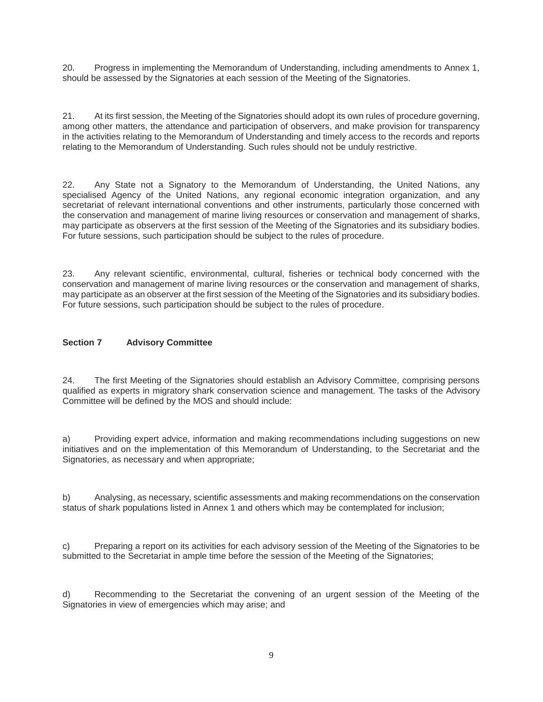20. Progress in implementing the Memorandum of Understanding, including amendments to Annex 1, should be assessed by the Signatories at each session of the Meeting of the Signatories.

21. At its first session, the Meeting of the Signatories should adopt its own rules of procedure governing, among other matters, the attendance and participation of observers, and make provision for transparency in the activities relating to the Memorandum of Understanding and timely access to the records and reports relating to the Memorandum of Understanding. Such rules should not be unduly restrictive.

22. Any State not a Signatory to the Memorandum of Understanding, the United Nations, any specialised Agency of the United Nations, any regional economic integration organization, and any secretariat of relevant international conventions and other instruments, particularly those concerned with the conservation and management of marine living resources or conservation and management of sharks, may participate as observers at the first session of the Meeting of the Signatories and its subsidiary bodies. For future sessions, such participation should be subject to the rules of procedure.

23. Any relevant scientific, environmental, cultural, fisheries or technical body concerned with the conservation and management of marine living resources or the conservation and management of sharks, may participate as an observer at the first session of the Meeting of the Signatories and its subsidiary bodies. For future sessions, such participation should be subject to the rules of procedure.

#### **Section 7 Advisory Committee**

24. The first Meeting of the Signatories should establish an Advisory Committee, comprising persons qualified as experts in migratory shark conservation science and management. The tasks of the Advisory Committee will be defined by the MOS and should include:

a) Providing expert advice, information and making recommendations including suggestions on new initiatives and on the implementation of this Memorandum of Understanding, to the Secretariat and the Signatories, as necessary and when appropriate;

b) Analysing, as necessary, scientific assessments and making recommendations on the conservation status of shark populations listed in Annex 1 and others which may be contemplated for inclusion;

c) Preparing a report on its activities for each advisory session of the Meeting of the Signatories to be submitted to the Secretariat in ample time before the session of the Meeting of the Signatories;

d) Recommending to the Secretariat the convening of an urgent session of the Meeting of the Signatories in view of emergencies which may arise; and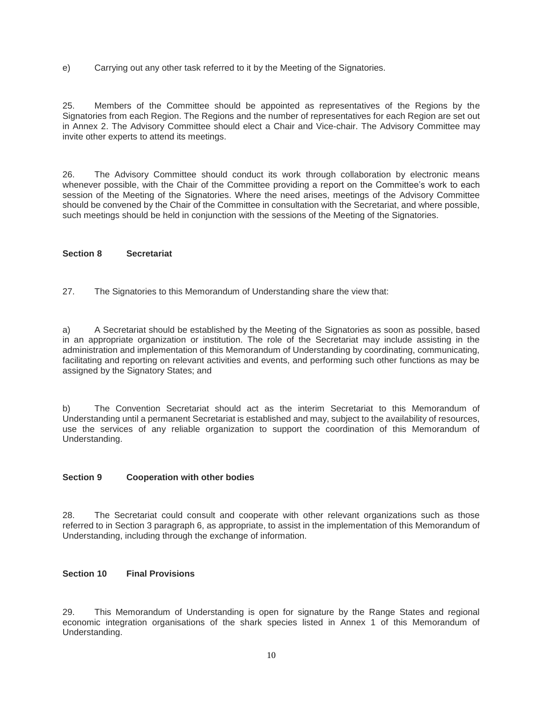e) Carrying out any other task referred to it by the Meeting of the Signatories.

25. Members of the Committee should be appointed as representatives of the Regions by the Signatories from each Region. The Regions and the number of representatives for each Region are set out in Annex 2. The Advisory Committee should elect a Chair and Vice-chair. The Advisory Committee may invite other experts to attend its meetings.

26. The Advisory Committee should conduct its work through collaboration by electronic means whenever possible, with the Chair of the Committee providing a report on the Committee's work to each session of the Meeting of the Signatories. Where the need arises, meetings of the Advisory Committee should be convened by the Chair of the Committee in consultation with the Secretariat, and where possible, such meetings should be held in conjunction with the sessions of the Meeting of the Signatories.

#### **Section 8 Secretariat**

27. The Signatories to this Memorandum of Understanding share the view that:

a) A Secretariat should be established by the Meeting of the Signatories as soon as possible, based in an appropriate organization or institution. The role of the Secretariat may include assisting in the administration and implementation of this Memorandum of Understanding by coordinating, communicating, facilitating and reporting on relevant activities and events, and performing such other functions as may be assigned by the Signatory States; and

b) The Convention Secretariat should act as the interim Secretariat to this Memorandum of Understanding until a permanent Secretariat is established and may, subject to the availability of resources, use the services of any reliable organization to support the coordination of this Memorandum of Understanding.

#### **Section 9 Cooperation with other bodies**

28. The Secretariat could consult and cooperate with other relevant organizations such as those referred to in Section 3 paragraph 6, as appropriate, to assist in the implementation of this Memorandum of Understanding, including through the exchange of information.

#### **Section 10 Final Provisions**

29. This Memorandum of Understanding is open for signature by the Range States and regional economic integration organisations of the shark species listed in Annex 1 of this Memorandum of Understanding.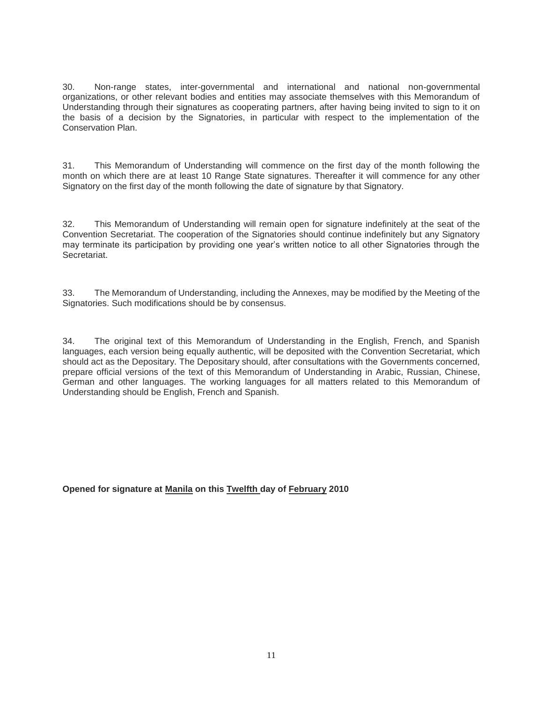30. Non-range states, inter-governmental and international and national non-governmental organizations, or other relevant bodies and entities may associate themselves with this Memorandum of Understanding through their signatures as cooperating partners, after having being invited to sign to it on the basis of a decision by the Signatories, in particular with respect to the implementation of the Conservation Plan.

31. This Memorandum of Understanding will commence on the first day of the month following the month on which there are at least 10 Range State signatures. Thereafter it will commence for any other Signatory on the first day of the month following the date of signature by that Signatory.

32. This Memorandum of Understanding will remain open for signature indefinitely at the seat of the Convention Secretariat. The cooperation of the Signatories should continue indefinitely but any Signatory may terminate its participation by providing one year's written notice to all other Signatories through the Secretariat.

33. The Memorandum of Understanding, including the Annexes, may be modified by the Meeting of the Signatories. Such modifications should be by consensus.

34. The original text of this Memorandum of Understanding in the English, French, and Spanish languages, each version being equally authentic, will be deposited with the Convention Secretariat, which should act as the Depositary. The Depositary should, after consultations with the Governments concerned, prepare official versions of the text of this Memorandum of Understanding in Arabic, Russian, Chinese, German and other languages. The working languages for all matters related to this Memorandum of Understanding should be English, French and Spanish.

#### **Opened for signature at Manila on this Twelfth day of February 2010**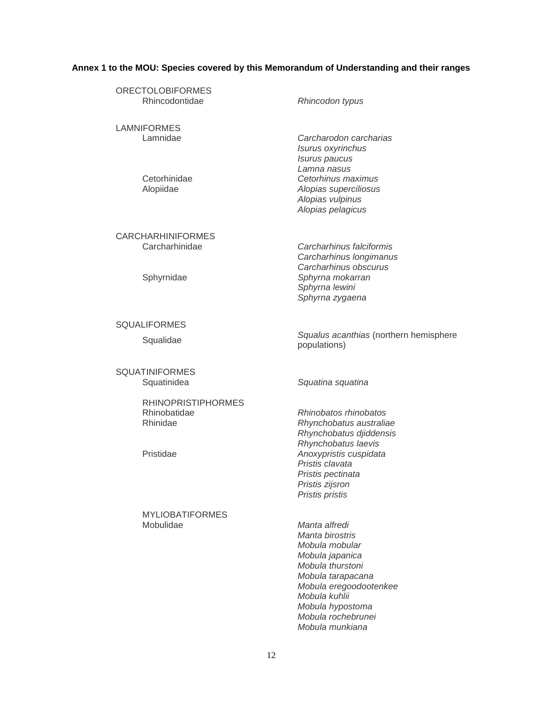## **Annex 1 to the MOU: Species covered by this Memorandum of Understanding and their ranges**

| <b>ORECTOLOBIFORMES</b><br>Rhincodontidae                          | Rhincodon typus                                                                                                                                                                                            |
|--------------------------------------------------------------------|------------------------------------------------------------------------------------------------------------------------------------------------------------------------------------------------------------|
| <b>LAMNIFORMES</b><br>Lamnidae<br>Cetorhinidae                     | Carcharodon carcharias<br>Isurus oxyrinchus<br>Isurus paucus<br>Lamna nasus<br>Cetorhinus maximus                                                                                                          |
| Alopiidae                                                          | Alopias superciliosus<br>Alopias vulpinus<br>Alopias pelagicus                                                                                                                                             |
| <b>CARCHARHINIFORMES</b><br>Carcharhinidae                         | Carcharhinus falciformis<br>Carcharhinus longimanus<br>Carcharhinus obscurus                                                                                                                               |
| Sphyrnidae                                                         | Sphyrna mokarran<br>Sphyrna lewini<br>Sphyrna zygaena                                                                                                                                                      |
| <b>SQUALIFORMES</b>                                                |                                                                                                                                                                                                            |
| Squalidae                                                          | Squalus acanthias (northern hemisphere<br>populations)                                                                                                                                                     |
| <b>SQUATINIFORMES</b><br>Squatinidea                               | Squatina squatina                                                                                                                                                                                          |
| <b>RHINOPRISTIPHORMES</b><br>Rhinobatidae<br>Rhinidae<br>Pristidae | Rhinobatos rhinobatos<br>Rhynchobatus australiae<br>Rhynchobatus djiddensis<br>Rhynchobatus laevis<br>Anoxypristis cuspidata<br>Pristis clavata<br>Pristis pectinata<br>Pristis zijsron<br>Pristis pristis |
| <b>MYLIOBATIFORMES</b><br>Mobulidae                                | Manta alfredi<br>Manta birostris<br>Mobula mobular<br>Mobula japanica<br>Mobula thurstoni<br>Mobula tarapacana<br>Mobula eregoodootenkee<br>Mobula kuhlii                                                  |

*Mobula hypostoma Mobula rochebrunei Mobula munkiana*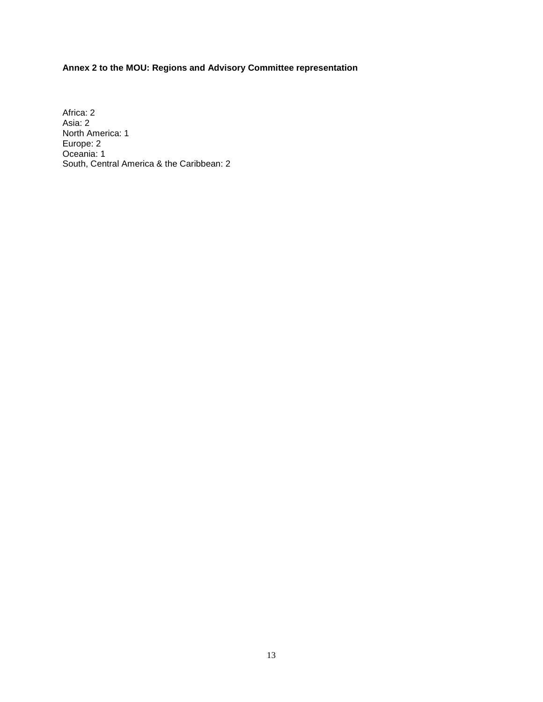## **Annex 2 to the MOU: Regions and Advisory Committee representation**

Africa: 2 Asia: 2 North America: 1 Europe: 2 Oceania: 1 South, Central America & the Caribbean: 2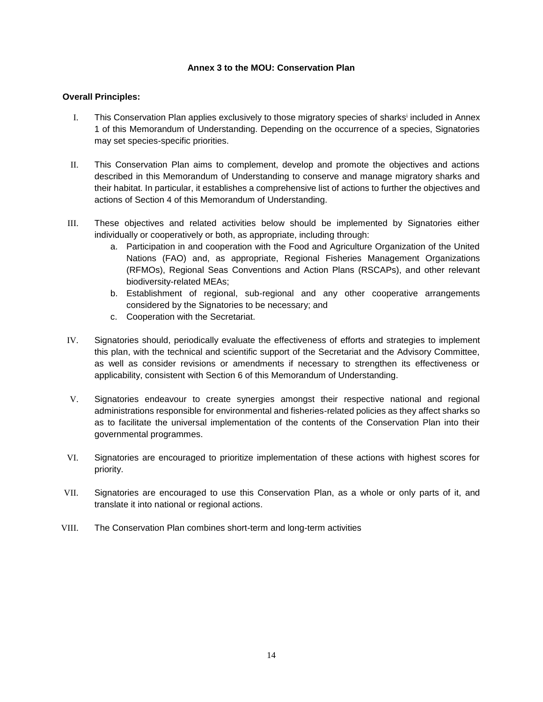#### **Annex 3 to the MOU: Conservation Plan**

#### **Overall Principles:**

- I. This Conservation Plan applies exclusively to those migratory species of sharks<sup>i</sup> included in Annex 1 of this Memorandum of Understanding. Depending on the occurrence of a species, Signatories may set species-specific priorities.
- II. This Conservation Plan aims to complement, develop and promote the objectives and actions described in this Memorandum of Understanding to conserve and manage migratory sharks and their habitat. In particular, it establishes a comprehensive list of actions to further the objectives and actions of Section 4 of this Memorandum of Understanding.
- III. These objectives and related activities below should be implemented by Signatories either individually or cooperatively or both, as appropriate, including through:
	- a. Participation in and cooperation with the Food and Agriculture Organization of the United Nations (FAO) and, as appropriate, Regional Fisheries Management Organizations (RFMOs), Regional Seas Conventions and Action Plans (RSCAPs), and other relevant biodiversity-related MEAs;
	- b. Establishment of regional, sub-regional and any other cooperative arrangements considered by the Signatories to be necessary; and
	- c. Cooperation with the Secretariat.
- IV. Signatories should, periodically evaluate the effectiveness of efforts and strategies to implement this plan, with the technical and scientific support of the Secretariat and the Advisory Committee, as well as consider revisions or amendments if necessary to strengthen its effectiveness or applicability, consistent with Section 6 of this Memorandum of Understanding.
- V. Signatories endeavour to create synergies amongst their respective national and regional administrations responsible for environmental and fisheries-related policies as they affect sharks so as to facilitate the universal implementation of the contents of the Conservation Plan into their governmental programmes.
- VI. Signatories are encouraged to prioritize implementation of these actions with highest scores for priority.
- VII. Signatories are encouraged to use this Conservation Plan, as a whole or only parts of it, and translate it into national or regional actions.
- VIII. The Conservation Plan combines short-term and long-term activities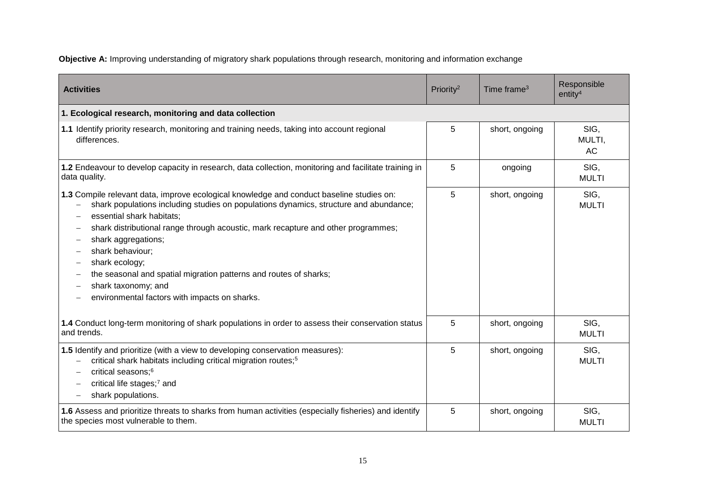**Objective A:** Improving understanding of migratory shark populations through research, monitoring and information exchange

| <b>Activities</b>                                                                                                                                                                                                                                                                                                                                                                                                                                                                                             | Priority <sup>2</sup> | Time frame <sup>3</sup> | Responsible<br>entity <sup>4</sup> |
|---------------------------------------------------------------------------------------------------------------------------------------------------------------------------------------------------------------------------------------------------------------------------------------------------------------------------------------------------------------------------------------------------------------------------------------------------------------------------------------------------------------|-----------------------|-------------------------|------------------------------------|
| 1. Ecological research, monitoring and data collection                                                                                                                                                                                                                                                                                                                                                                                                                                                        |                       |                         |                                    |
| 1.1 Identify priority research, monitoring and training needs, taking into account regional<br>differences.                                                                                                                                                                                                                                                                                                                                                                                                   | 5                     | short, ongoing          | SIG,<br>MULTI,<br>AC               |
| 1.2 Endeavour to develop capacity in research, data collection, monitoring and facilitate training in<br>data quality.                                                                                                                                                                                                                                                                                                                                                                                        | 5                     | ongoing                 | SIG,<br><b>MULTI</b>               |
| 1.3 Compile relevant data, improve ecological knowledge and conduct baseline studies on:<br>shark populations including studies on populations dynamics, structure and abundance;<br>essential shark habitats;<br>shark distributional range through acoustic, mark recapture and other programmes;<br>shark aggregations;<br>shark behaviour;<br>shark ecology;<br>the seasonal and spatial migration patterns and routes of sharks;<br>shark taxonomy; and<br>environmental factors with impacts on sharks. | 5                     | short, ongoing          | SIG,<br><b>MULTI</b>               |
| 1.4 Conduct long-term monitoring of shark populations in order to assess their conservation status<br>and trends.                                                                                                                                                                                                                                                                                                                                                                                             | 5                     | short, ongoing          | SIG.<br><b>MULTI</b>               |
| 1.5 Identify and prioritize (with a view to developing conservation measures):<br>critical shark habitats including critical migration routes; <sup>5</sup><br>critical seasons; <sup>6</sup><br>critical life stages;7 and<br>shark populations.                                                                                                                                                                                                                                                             | 5                     | short, ongoing          | SIG,<br><b>MULTI</b>               |
| 1.6 Assess and prioritize threats to sharks from human activities (especially fisheries) and identify<br>the species most vulnerable to them.                                                                                                                                                                                                                                                                                                                                                                 | 5                     | short, ongoing          | SIG,<br><b>MULTI</b>               |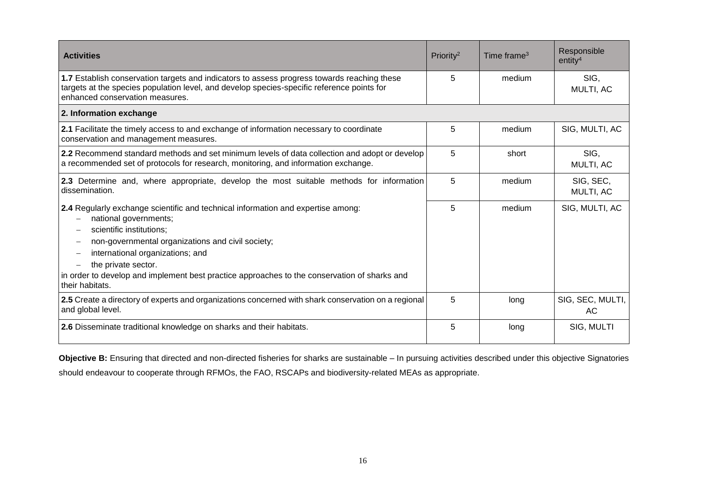| <b>Activities</b>                                                                                                                                                                                                                                                                                                                                                        | Priority <sup>2</sup> | Time frame <sup>3</sup> | Responsible<br>entity <sup>4</sup> |
|--------------------------------------------------------------------------------------------------------------------------------------------------------------------------------------------------------------------------------------------------------------------------------------------------------------------------------------------------------------------------|-----------------------|-------------------------|------------------------------------|
| 1.7 Establish conservation targets and indicators to assess progress towards reaching these<br>targets at the species population level, and develop species-specific reference points for<br>enhanced conservation measures.                                                                                                                                             | 5                     | medium                  | SIG.<br>MULTI, AC                  |
| 2. Information exchange                                                                                                                                                                                                                                                                                                                                                  |                       |                         |                                    |
| 2.1 Facilitate the timely access to and exchange of information necessary to coordinate<br>conservation and management measures.                                                                                                                                                                                                                                         | 5                     | medium                  | SIG, MULTI, AC                     |
| 2.2 Recommend standard methods and set minimum levels of data collection and adopt or develop<br>a recommended set of protocols for research, monitoring, and information exchange.                                                                                                                                                                                      | 5                     | short                   | SIG.<br>MULTI, AC                  |
| 2.3 Determine and, where appropriate, develop the most suitable methods for information<br>dissemination.                                                                                                                                                                                                                                                                | 5                     | medium                  | SIG, SEC,<br>MULTI, AC             |
| 2.4 Regularly exchange scientific and technical information and expertise among:<br>national governments;<br>scientific institutions:<br>non-governmental organizations and civil society;<br>international organizations; and<br>the private sector.<br>in order to develop and implement best practice approaches to the conservation of sharks and<br>their habitats. | 5                     | medium                  | SIG, MULTI, AC                     |
| 2.5 Create a directory of experts and organizations concerned with shark conservation on a regional<br>and global level.                                                                                                                                                                                                                                                 | 5                     | long                    | SIG, SEC, MULTI,<br>AC.            |
| 2.6 Disseminate traditional knowledge on sharks and their habitats.                                                                                                                                                                                                                                                                                                      | 5                     | long                    | SIG, MULTI                         |

**Objective B:** Ensuring that directed and non-directed fisheries for sharks are sustainable – In pursuing activities described under this objective Signatories should endeavour to cooperate through RFMOs, the FAO, RSCAPs and biodiversity-related MEAs as appropriate.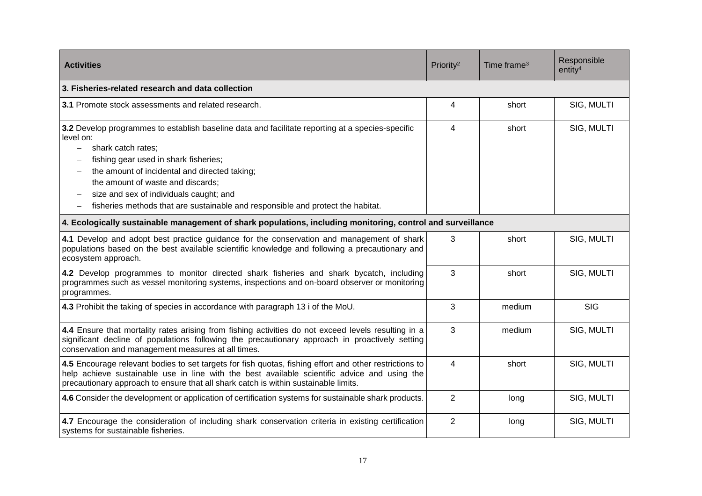| <b>Activities</b>                                                                                                                                                                                                                                                                                                                                                                                                                                                      | Priority <sup>2</sup> | Time frame <sup>3</sup> | Responsible<br>entity <sup>4</sup> |
|------------------------------------------------------------------------------------------------------------------------------------------------------------------------------------------------------------------------------------------------------------------------------------------------------------------------------------------------------------------------------------------------------------------------------------------------------------------------|-----------------------|-------------------------|------------------------------------|
| 3. Fisheries-related research and data collection                                                                                                                                                                                                                                                                                                                                                                                                                      |                       |                         |                                    |
| 3.1 Promote stock assessments and related research.                                                                                                                                                                                                                                                                                                                                                                                                                    | $\overline{4}$        | short                   | SIG, MULTI                         |
| 3.2 Develop programmes to establish baseline data and facilitate reporting at a species-specific<br>level on:<br>shark catch rates:<br>$\qquad \qquad -$<br>fishing gear used in shark fisheries;<br>the amount of incidental and directed taking;<br>the amount of waste and discards;<br>$\qquad \qquad -$<br>size and sex of individuals caught; and<br>fisheries methods that are sustainable and responsible and protect the habitat.<br>$\overline{\phantom{0}}$ | 4                     | short                   | SIG, MULTI                         |
| 4. Ecologically sustainable management of shark populations, including monitoring, control and surveillance                                                                                                                                                                                                                                                                                                                                                            |                       |                         |                                    |
| 4.1 Develop and adopt best practice guidance for the conservation and management of shark<br>populations based on the best available scientific knowledge and following a precautionary and<br>ecosystem approach.                                                                                                                                                                                                                                                     | 3                     | short                   | SIG, MULTI                         |
| 4.2 Develop programmes to monitor directed shark fisheries and shark bycatch, including<br>programmes such as vessel monitoring systems, inspections and on-board observer or monitoring<br>programmes.                                                                                                                                                                                                                                                                | 3                     | short                   | SIG, MULTI                         |
| 4.3 Prohibit the taking of species in accordance with paragraph 13 i of the MoU.                                                                                                                                                                                                                                                                                                                                                                                       | 3                     | medium                  | <b>SIG</b>                         |
| 4.4 Ensure that mortality rates arising from fishing activities do not exceed levels resulting in a<br>significant decline of populations following the precautionary approach in proactively setting<br>conservation and management measures at all times.                                                                                                                                                                                                            | 3                     | medium                  | SIG, MULTI                         |
| 4.5 Encourage relevant bodies to set targets for fish quotas, fishing effort and other restrictions to<br>help achieve sustainable use in line with the best available scientific advice and using the<br>precautionary approach to ensure that all shark catch is within sustainable limits.                                                                                                                                                                          | $\overline{4}$        | short                   | SIG, MULTI                         |
| 4.6 Consider the development or application of certification systems for sustainable shark products.                                                                                                                                                                                                                                                                                                                                                                   | $\overline{2}$        | long                    | SIG, MULTI                         |
| 4.7 Encourage the consideration of including shark conservation criteria in existing certification<br>systems for sustainable fisheries.                                                                                                                                                                                                                                                                                                                               | $\overline{2}$        | long                    | SIG, MULTI                         |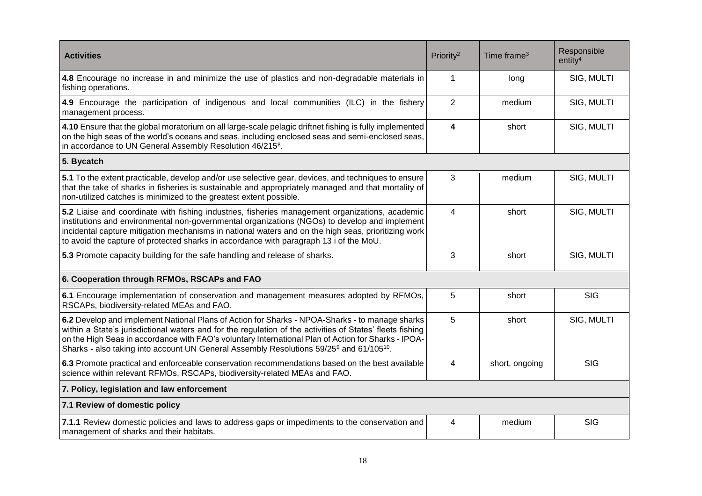| <b>Activities</b>                                                                                                                                                                                                                                                                                                                                                                                                                     | Priority <sup>2</sup>   | Time frame <sup>3</sup> | Responsible<br>entity <sup>4</sup> |
|---------------------------------------------------------------------------------------------------------------------------------------------------------------------------------------------------------------------------------------------------------------------------------------------------------------------------------------------------------------------------------------------------------------------------------------|-------------------------|-------------------------|------------------------------------|
| 4.8 Encourage no increase in and minimize the use of plastics and non-degradable materials in<br>fishing operations.                                                                                                                                                                                                                                                                                                                  | $\mathbf{1}$            | long                    | SIG, MULTI                         |
| 4.9 Encourage the participation of indigenous and local communities (ILC) in the fishery<br>management process.                                                                                                                                                                                                                                                                                                                       | $\overline{2}$          | medium                  | SIG, MULTI                         |
| 4.10 Ensure that the global moratorium on all large-scale pelagic driftnet fishing is fully implemented<br>on the high seas of the world's oceans and seas, including enclosed seas and semi-enclosed seas,<br>in accordance to UN General Assembly Resolution 46/2158.                                                                                                                                                               | $\overline{\mathbf{4}}$ | short                   | SIG, MULTI                         |
| 5. Bycatch                                                                                                                                                                                                                                                                                                                                                                                                                            |                         |                         |                                    |
| 5.1 To the extent practicable, develop and/or use selective gear, devices, and techniques to ensure<br>that the take of sharks in fisheries is sustainable and appropriately managed and that mortality of<br>non-utilized catches is minimized to the greatest extent possible.                                                                                                                                                      | 3                       | medium                  | SIG, MULTI                         |
| 5.2 Liaise and coordinate with fishing industries, fisheries management organizations, academic<br>institutions and environmental non-governmental organizations (NGOs) to develop and implement<br>incidental capture mitigation mechanisms in national waters and on the high seas, prioritizing work<br>to avoid the capture of protected sharks in accordance with paragraph 13 i of the MoU.                                     | $\overline{4}$          | short                   | SIG, MULTI                         |
| 5.3 Promote capacity building for the safe handling and release of sharks.                                                                                                                                                                                                                                                                                                                                                            | 3                       | short                   | SIG, MULTI                         |
| 6. Cooperation through RFMOs, RSCAPs and FAO                                                                                                                                                                                                                                                                                                                                                                                          |                         |                         |                                    |
| 6.1 Encourage implementation of conservation and management measures adopted by RFMOs,<br>RSCAPs, biodiversity-related MEAs and FAO.                                                                                                                                                                                                                                                                                                  | 5                       | short                   | <b>SIG</b>                         |
| 6.2 Develop and implement National Plans of Action for Sharks - NPOA-Sharks - to manage sharks<br>within a State's jurisdictional waters and for the regulation of the activities of States' fleets fishing<br>on the High Seas in accordance with FAO's voluntary International Plan of Action for Sharks - IPOA-<br>Sharks - also taking into account UN General Assembly Resolutions 59/25 <sup>9</sup> and 61/105 <sup>10</sup> . | 5                       | short                   | SIG, MULTI                         |
| 6.3 Promote practical and enforceable conservation recommendations based on the best available<br>science within relevant RFMOs, RSCAPs, biodiversity-related MEAs and FAO.                                                                                                                                                                                                                                                           | $\overline{4}$          | short, ongoing          | <b>SIG</b>                         |
| 7. Policy, legislation and law enforcement                                                                                                                                                                                                                                                                                                                                                                                            |                         |                         |                                    |
| 7.1 Review of domestic policy                                                                                                                                                                                                                                                                                                                                                                                                         |                         |                         |                                    |
| 7.1.1 Review domestic policies and laws to address gaps or impediments to the conservation and<br>management of sharks and their habitats.                                                                                                                                                                                                                                                                                            | 4                       | medium                  | <b>SIG</b>                         |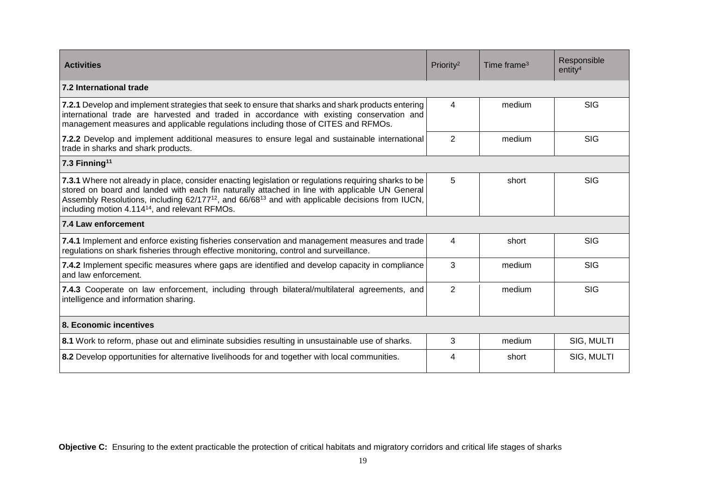| <b>Activities</b>                                                                                                                                                                                                                                                                                                                                                                                | Priority <sup>2</sup> | Time frame $3$ | Responsible<br>entity <sup>4</sup> |
|--------------------------------------------------------------------------------------------------------------------------------------------------------------------------------------------------------------------------------------------------------------------------------------------------------------------------------------------------------------------------------------------------|-----------------------|----------------|------------------------------------|
| 7.2 International trade                                                                                                                                                                                                                                                                                                                                                                          |                       |                |                                    |
| 7.2.1 Develop and implement strategies that seek to ensure that sharks and shark products entering<br>international trade are harvested and traded in accordance with existing conservation and<br>management measures and applicable regulations including those of CITES and RFMOs.                                                                                                            | 4                     | medium         | <b>SIG</b>                         |
| 7.2.2 Develop and implement additional measures to ensure legal and sustainable international<br>trade in sharks and shark products.                                                                                                                                                                                                                                                             | $\overline{2}$        | medium         | <b>SIG</b>                         |
| 7.3 Finning <sup>11</sup>                                                                                                                                                                                                                                                                                                                                                                        |                       |                |                                    |
| 7.3.1 Where not already in place, consider enacting legislation or regulations requiring sharks to be<br>stored on board and landed with each fin naturally attached in line with applicable UN General<br>Assembly Resolutions, including 62/177 <sup>12</sup> , and 66/68 <sup>13</sup> and with applicable decisions from IUCN,<br>including motion 4.114 <sup>14</sup> , and relevant RFMOs. | 5                     | short          | <b>SIG</b>                         |
| 7.4 Law enforcement                                                                                                                                                                                                                                                                                                                                                                              |                       |                |                                    |
| 7.4.1 Implement and enforce existing fisheries conservation and management measures and trade<br>regulations on shark fisheries through effective monitoring, control and surveillance.                                                                                                                                                                                                          | 4                     | short          | <b>SIG</b>                         |
| 7.4.2 Implement specific measures where gaps are identified and develop capacity in compliance<br>and law enforcement.                                                                                                                                                                                                                                                                           | 3                     | medium         | <b>SIG</b>                         |
| 7.4.3 Cooperate on law enforcement, including through bilateral/multilateral agreements, and<br>intelligence and information sharing.                                                                                                                                                                                                                                                            | $\overline{2}$        | medium         | <b>SIG</b>                         |
| 8. Economic incentives                                                                                                                                                                                                                                                                                                                                                                           |                       |                |                                    |
| 8.1 Work to reform, phase out and eliminate subsidies resulting in unsustainable use of sharks.                                                                                                                                                                                                                                                                                                  | 3                     | medium         | SIG, MULTI                         |
| 8.2 Develop opportunities for alternative livelihoods for and together with local communities.                                                                                                                                                                                                                                                                                                   | 4                     | short          | SIG, MULTI                         |

**Objective C:** Ensuring to the extent practicable the protection of critical habitats and migratory corridors and critical life stages of sharks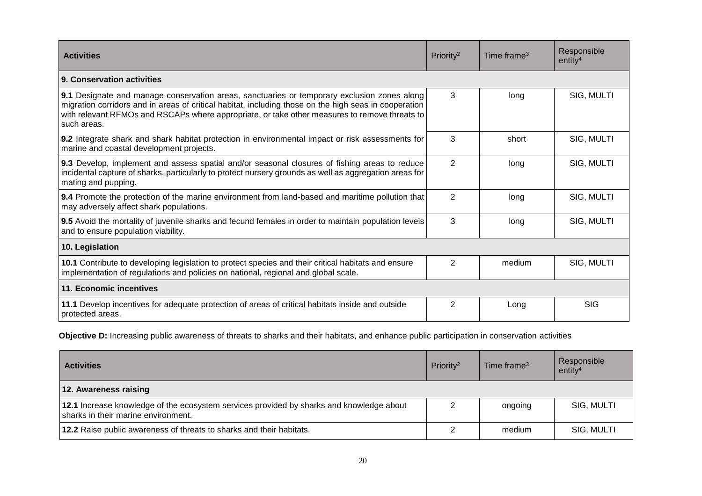| <b>Activities</b>                                                                                                                                                                                                                                                                                                    | Priority <sup>2</sup> | Time frame $3$ | Responsible<br>entity <sup>4</sup> |
|----------------------------------------------------------------------------------------------------------------------------------------------------------------------------------------------------------------------------------------------------------------------------------------------------------------------|-----------------------|----------------|------------------------------------|
| 9. Conservation activities                                                                                                                                                                                                                                                                                           |                       |                |                                    |
| 9.1 Designate and manage conservation areas, sanctuaries or temporary exclusion zones along<br>migration corridors and in areas of critical habitat, including those on the high seas in cooperation<br>with relevant RFMOs and RSCAPs where appropriate, or take other measures to remove threats to<br>such areas. | 3                     | long           | SIG, MULTI                         |
| 9.2 Integrate shark and shark habitat protection in environmental impact or risk assessments for<br>marine and coastal development projects.                                                                                                                                                                         | 3                     | short          | SIG, MULTI                         |
| 9.3 Develop, implement and assess spatial and/or seasonal closures of fishing areas to reduce<br>incidental capture of sharks, particularly to protect nursery grounds as well as aggregation areas for<br>mating and pupping.                                                                                       | $\overline{2}$        | long           | SIG, MULTI                         |
| 9.4 Promote the protection of the marine environment from land-based and maritime pollution that<br>may adversely affect shark populations.                                                                                                                                                                          | $\overline{2}$        | long           | SIG, MULTI                         |
| 9.5 Avoid the mortality of juvenile sharks and fecund females in order to maintain population levels<br>and to ensure population viability.                                                                                                                                                                          | 3                     | long           | SIG, MULTI                         |
| 10. Legislation                                                                                                                                                                                                                                                                                                      |                       |                |                                    |
| 10.1 Contribute to developing legislation to protect species and their critical habitats and ensure<br>implementation of regulations and policies on national, regional and global scale.                                                                                                                            | 2                     | medium         | SIG, MULTI                         |
| 11. Economic incentives                                                                                                                                                                                                                                                                                              |                       |                |                                    |
| 11.1 Develop incentives for adequate protection of areas of critical habitats inside and outside<br>protected areas.                                                                                                                                                                                                 | $\overline{2}$        | Long           | <b>SIG</b>                         |

**Objective D:** Increasing public awareness of threats to sharks and their habitats, and enhance public participation in conservation activities

| <b>Activities</b>                                                                                                               | Priority <sup>2</sup> | Time frame <sup>3</sup> | Responsible<br>entity <sup>4</sup> |
|---------------------------------------------------------------------------------------------------------------------------------|-----------------------|-------------------------|------------------------------------|
| 12. Awareness raising                                                                                                           |                       |                         |                                    |
| 12.1 Increase knowledge of the ecosystem services provided by sharks and knowledge about<br>sharks in their marine environment. |                       | ongoing                 | SIG, MULTI                         |
| 12.2 Raise public awareness of threats to sharks and their habitats.                                                            |                       | medium                  | SIG, MULTI                         |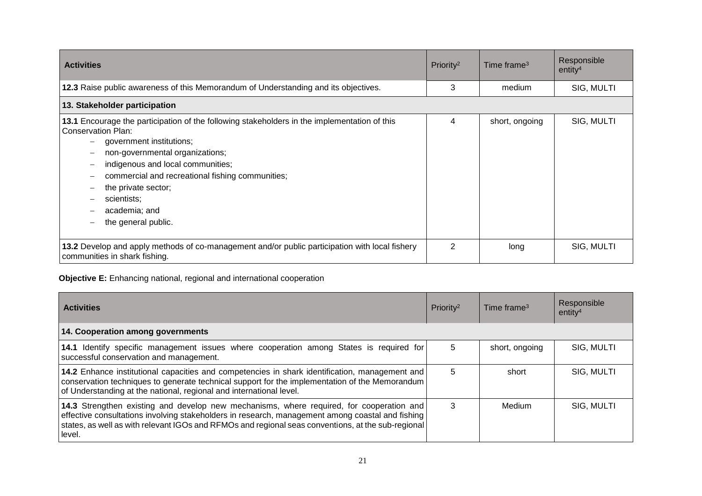| <b>Activities</b>                                                                                                                                                                                                                                                                                                                                        | Priority <sup>2</sup> | Time frame $3$ | Responsible<br>entity <sup>4</sup> |
|----------------------------------------------------------------------------------------------------------------------------------------------------------------------------------------------------------------------------------------------------------------------------------------------------------------------------------------------------------|-----------------------|----------------|------------------------------------|
| 12.3 Raise public awareness of this Memorandum of Understanding and its objectives.                                                                                                                                                                                                                                                                      | 3                     | medium         | SIG, MULTI                         |
| 13. Stakeholder participation                                                                                                                                                                                                                                                                                                                            |                       |                |                                    |
| 13.1 Encourage the participation of the following stakeholders in the implementation of this<br>Conservation Plan:<br>government institutions;<br>non-governmental organizations;<br>indigenous and local communities;<br>commercial and recreational fishing communities;<br>the private sector;<br>scientists;<br>academia; and<br>the general public. | 4                     | short, ongoing | SIG, MULTI                         |
| 13.2 Develop and apply methods of co-management and/or public participation with local fishery<br>communities in shark fishing.                                                                                                                                                                                                                          | 2                     | long           | SIG, MULTI                         |

# **Objective E:** Enhancing national, regional and international cooperation

| <b>Activities</b>                                                                                                                                                                                                                                                                                            | Priority <sup>2</sup> | Time frame <sup>3</sup> | Responsible<br>entity <sup>4</sup> |
|--------------------------------------------------------------------------------------------------------------------------------------------------------------------------------------------------------------------------------------------------------------------------------------------------------------|-----------------------|-------------------------|------------------------------------|
| 14. Cooperation among governments                                                                                                                                                                                                                                                                            |                       |                         |                                    |
| 14.1 Identify specific management issues where cooperation among States is required for<br>successful conservation and management.                                                                                                                                                                           | 5                     | short, ongoing          | SIG, MULTI                         |
| 14.2 Enhance institutional capacities and competencies in shark identification, management and<br>conservation techniques to generate technical support for the implementation of the Memorandum<br>of Understanding at the national, regional and international level.                                      | 5                     | short                   | SIG, MULTI                         |
| 14.3 Strengthen existing and develop new mechanisms, where required, for cooperation and<br>effective consultations involving stakeholders in research, management among coastal and fishing<br>states, as well as with relevant IGOs and RFMOs and regional seas conventions, at the sub-regional<br>level. | 3                     | Medium                  | SIG, MULTI                         |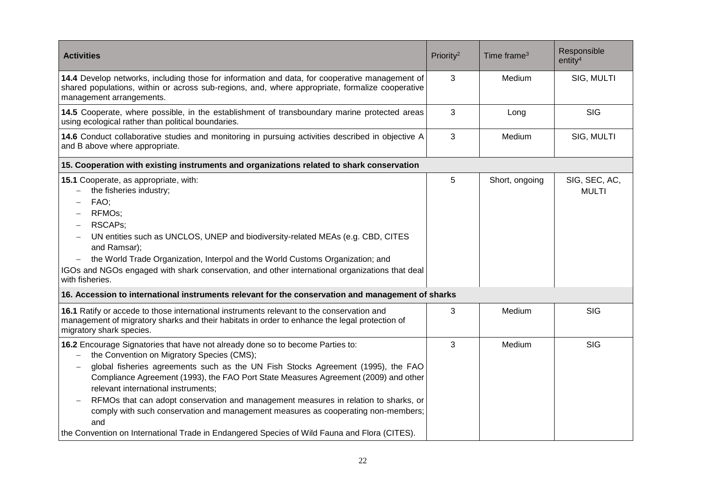| <b>Activities</b>                                                                                                                                                                                                                                                                                                                                                                                                                                                                                                                                                                                                                 | Priority <sup>2</sup> | Time frame <sup>3</sup> | Responsible<br>entity <sup>4</sup> |
|-----------------------------------------------------------------------------------------------------------------------------------------------------------------------------------------------------------------------------------------------------------------------------------------------------------------------------------------------------------------------------------------------------------------------------------------------------------------------------------------------------------------------------------------------------------------------------------------------------------------------------------|-----------------------|-------------------------|------------------------------------|
| 14.4 Develop networks, including those for information and data, for cooperative management of<br>shared populations, within or across sub-regions, and, where appropriate, formalize cooperative<br>management arrangements.                                                                                                                                                                                                                                                                                                                                                                                                     | 3                     | Medium                  | SIG, MULTI                         |
| 14.5 Cooperate, where possible, in the establishment of transboundary marine protected areas<br>using ecological rather than political boundaries.                                                                                                                                                                                                                                                                                                                                                                                                                                                                                | 3                     | Long                    | <b>SIG</b>                         |
| 14.6 Conduct collaborative studies and monitoring in pursuing activities described in objective A<br>and B above where appropriate.                                                                                                                                                                                                                                                                                                                                                                                                                                                                                               | 3                     | Medium                  | SIG, MULTI                         |
| 15. Cooperation with existing instruments and organizations related to shark conservation                                                                                                                                                                                                                                                                                                                                                                                                                                                                                                                                         |                       |                         |                                    |
| 15.1 Cooperate, as appropriate, with:<br>the fisheries industry;<br>FAO;<br>RFMO <sub>s</sub> ;<br><b>RSCAPs:</b><br>UN entities such as UNCLOS, UNEP and biodiversity-related MEAs (e.g. CBD, CITES<br>and Ramsar);<br>the World Trade Organization, Interpol and the World Customs Organization; and<br>$\overline{\phantom{m}}$<br>IGOs and NGOs engaged with shark conservation, and other international organizations that deal<br>with fisheries.                                                                                                                                                                           | 5                     | Short, ongoing          | SIG, SEC, AC,<br><b>MULTI</b>      |
| 16. Accession to international instruments relevant for the conservation and management of sharks                                                                                                                                                                                                                                                                                                                                                                                                                                                                                                                                 |                       |                         |                                    |
| 16.1 Ratify or accede to those international instruments relevant to the conservation and<br>management of migratory sharks and their habitats in order to enhance the legal protection of<br>migratory shark species.                                                                                                                                                                                                                                                                                                                                                                                                            | 3                     | Medium                  | <b>SIG</b>                         |
| 16.2 Encourage Signatories that have not already done so to become Parties to:<br>the Convention on Migratory Species (CMS);<br>global fisheries agreements such as the UN Fish Stocks Agreement (1995), the FAO<br>Compliance Agreement (1993), the FAO Port State Measures Agreement (2009) and other<br>relevant international instruments;<br>RFMOs that can adopt conservation and management measures in relation to sharks, or<br>comply with such conservation and management measures as cooperating non-members;<br>and<br>the Convention on International Trade in Endangered Species of Wild Fauna and Flora (CITES). | 3                     | Medium                  | <b>SIG</b>                         |